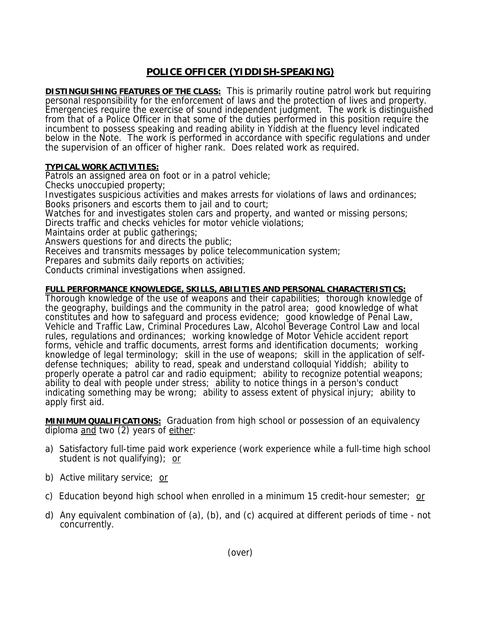## **POLICE OFFICER (YIDDISH-SPEAKING)**

**DISTINGUISHING FEATURES OF THE CLASS:** This is primarily routine patrol work but requiring personal responsibility for the enforcement of laws and the protection of lives and property. Emergencies require the exercise of sound independent judgment. The work is distinguished from that of a Police Officer in that some of the duties performed in this position require the incumbent to possess speaking and reading ability in Yiddish at the fluency level indicated below in the Note. The work is performed in accordance with specific regulations and under the supervision of an officer of higher rank. Does related work as required.

## **TYPICAL WORK ACTIVITIES:**

Patrols an assigned area on foot or in a patrol vehicle;

Checks unoccupied property;

Investigates suspicious activities and makes arrests for violations of laws and ordinances; Books prisoners and escorts them to jail and to court;

Watches for and investigates stolen cars and property, and wanted or missing persons;

Directs traffic and checks vehicles for motor vehicle violations;

Maintains order at public gatherings;

Answers questions for and directs the public;

Receives and transmits messages by police telecommunication system;

Prepares and submits daily reports on activities;

Conducts criminal investigations when assigned.

## **FULL PERFORMANCE KNOWLEDGE, SKILLS, ABILITIES AND PERSONAL CHARACTERISTICS:**

Thorough knowledge of the use of weapons and their capabilities; thorough knowledge of the geography, buildings and the community in the patrol area; good knowledge of what constitutes and how to safeguard and process evidence; good knowledge of Penal Law, Vehicle and Traffic Law, Criminal Procedures Law, Alcohol Beverage Control Law and local rules, regulations and ordinances; working knowledge of Motor Vehicle accident report forms, vehicle and traffic documents, arrest forms and identification documents; working knowledge of legal terminology; skill in the use of weapons; skill in the application of selfdefense techniques; ability to read, speak and understand colloquial Yiddish; ability to properly operate a patrol car and radio equipment; ability to recognize potential weapons; ability to deal with people under stress; ability to notice things in a person's conduct indicating something may be wrong; ability to assess extent of physical injury; ability to apply first aid.

**MINIMUM QUALIFICATIONS:** Graduation from high school or possession of an equivalency diploma and two (2) years of either:

- a) Satisfactory full-time paid work experience (work experience while a full-time high school student is not qualifying); or
- b) Active military service; or
- c) Education beyond high school when enrolled in a minimum 15 credit-hour semester; or
- d) Any equivalent combination of (a), (b), and (c) acquired at different periods of time not concurrently.